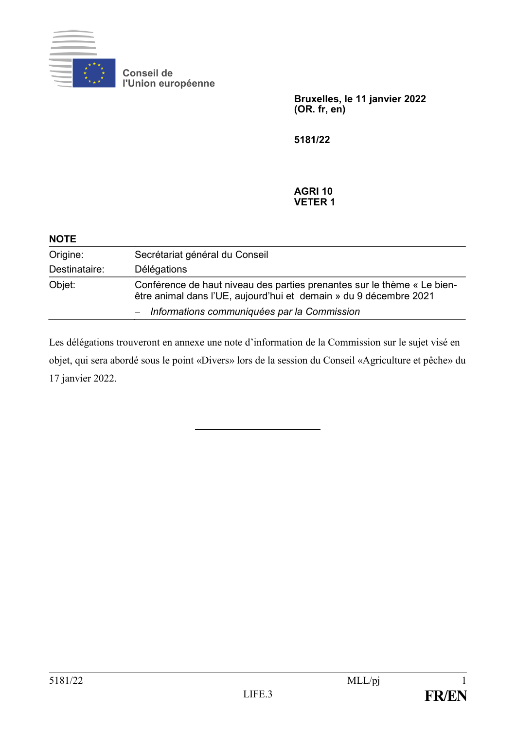

**Conseil de l'Union européenne**

> **Bruxelles, le 11 janvier 2022 (OR. fr, en)**

**5181/22**

## **AGRI 10 VETER 1**

| <b>NOTE</b>   |                                                                                                                                              |
|---------------|----------------------------------------------------------------------------------------------------------------------------------------------|
| Origine:      | Secrétariat général du Conseil                                                                                                               |
| Destinataire: | Délégations                                                                                                                                  |
| Objet:        | Conférence de haut niveau des parties prenantes sur le thème « Le bien-<br>être animal dans l'UE, aujourd'hui et demain » du 9 décembre 2021 |
|               | - Informations communiquées par la Commission                                                                                                |

Les délégations trouveront en annexe une note d'information de la Commission sur le sujet visé en objet, qui sera abordé sous le point «Divers» lors de la session du Conseil «Agriculture et pêche» du 17 janvier 2022.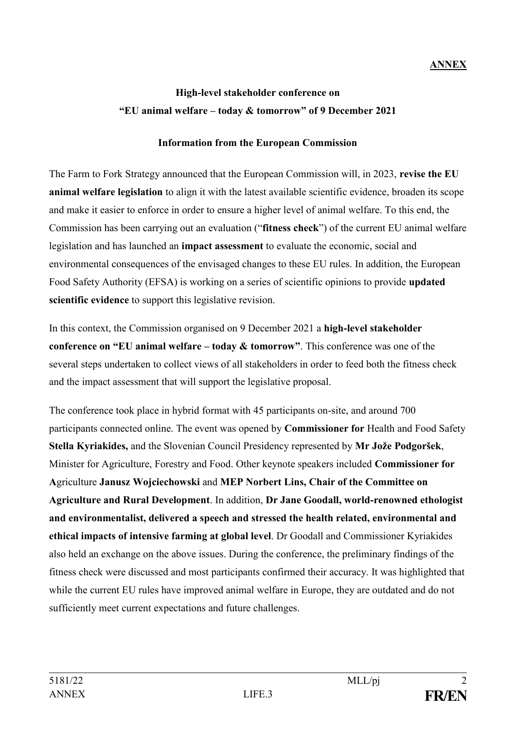## **ANNEX**

## **High-level stakeholder conference on "EU animal welfare – today & tomorrow" of 9 December 2021**

## **Information from the European Commission**

The Farm to Fork Strategy announced that the European Commission will, in 2023, **revise the EU animal welfare legislation** to align it with the latest available scientific evidence, broaden its scope and make it easier to enforce in order to ensure a higher level of animal welfare. To this end, the Commission has been carrying out an evaluation ("**fitness check**") of the current EU animal welfare legislation and has launched an **impact assessment** to evaluate the economic, social and environmental consequences of the envisaged changes to these EU rules. In addition, the European Food Safety Authority (EFSA) is working on a series of scientific opinions to provide **updated scientific evidence** to support this legislative revision.

In this context, the Commission organised on 9 December 2021 a **high-level stakeholder conference on "EU animal welfare – today & tomorrow"**. This conference was one of the several steps undertaken to collect views of all stakeholders in order to feed both the fitness check and the impact assessment that will support the legislative proposal.

The conference took place in hybrid format with 45 participants on-site, and around 700 participants connected online. The event was opened by **Commissioner for** Health and Food Safety **Stella Kyriakides,** and the Slovenian Council Presidency represented by **Mr Jože Podgoršek**, Minister for Agriculture, Forestry and Food. Other keynote speakers included **Commissioner for A**griculture **Janusz Wojciechowski** and **MEP Norbert Lins, Chair of the Committee on Agriculture and Rural Development**. In addition, **Dr Jane Goodall, world-renowned ethologist and environmentalist, delivered a speech and stressed the health related, environmental and ethical impacts of intensive farming at global level**. Dr Goodall and Commissioner Kyriakides also held an exchange on the above issues. During the conference, the preliminary findings of the fitness check were discussed and most participants confirmed their accuracy. It was highlighted that while the current EU rules have improved animal welfare in Europe, they are outdated and do not sufficiently meet current expectations and future challenges.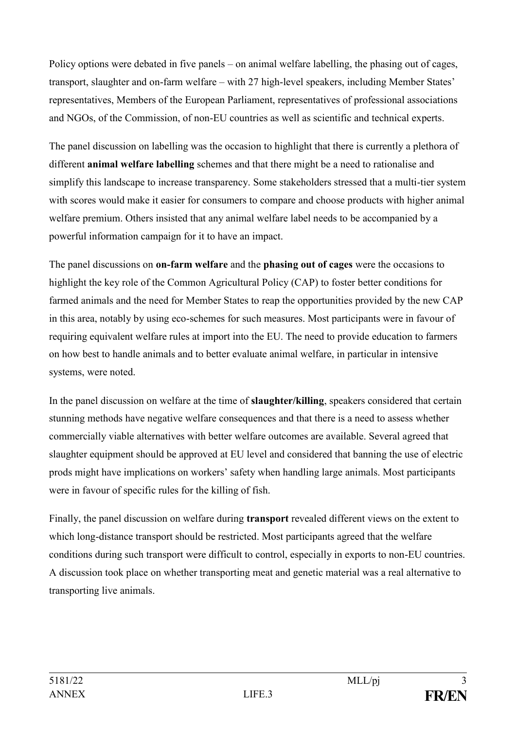Policy options were debated in five panels – on animal welfare labelling, the phasing out of cages, transport, slaughter and on-farm welfare – with 27 high-level speakers, including Member States' representatives, Members of the European Parliament, representatives of professional associations and NGOs, of the Commission, of non-EU countries as well as scientific and technical experts.

The panel discussion on labelling was the occasion to highlight that there is currently a plethora of different **animal welfare labelling** schemes and that there might be a need to rationalise and simplify this landscape to increase transparency. Some stakeholders stressed that a multi-tier system with scores would make it easier for consumers to compare and choose products with higher animal welfare premium. Others insisted that any animal welfare label needs to be accompanied by a powerful information campaign for it to have an impact.

The panel discussions on **on-farm welfare** and the **phasing out of cages** were the occasions to highlight the key role of the Common Agricultural Policy (CAP) to foster better conditions for farmed animals and the need for Member States to reap the opportunities provided by the new CAP in this area, notably by using eco-schemes for such measures. Most participants were in favour of requiring equivalent welfare rules at import into the EU. The need to provide education to farmers on how best to handle animals and to better evaluate animal welfare, in particular in intensive systems, were noted.

In the panel discussion on welfare at the time of **slaughter/killing**, speakers considered that certain stunning methods have negative welfare consequences and that there is a need to assess whether commercially viable alternatives with better welfare outcomes are available. Several agreed that slaughter equipment should be approved at EU level and considered that banning the use of electric prods might have implications on workers' safety when handling large animals. Most participants were in favour of specific rules for the killing of fish.

Finally, the panel discussion on welfare during **transport** revealed different views on the extent to which long-distance transport should be restricted. Most participants agreed that the welfare conditions during such transport were difficult to control, especially in exports to non-EU countries. A discussion took place on whether transporting meat and genetic material was a real alternative to transporting live animals.